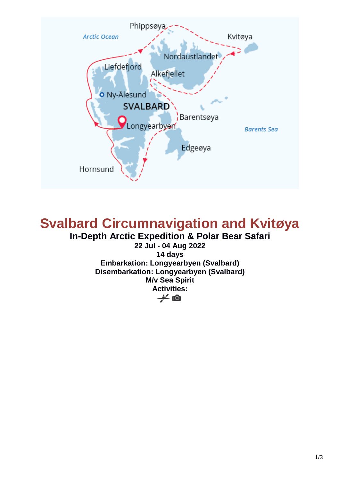

# **Svalbard Circumnavigation and Kvitøya In-Depth Arctic Expedition & Polar Bear Safari**

**22 Jul - 04 Aug 2022 14 days Embarkation: Longyearbyen (Svalbard) Disembarkation: Longyearbyen (Svalbard) M/v Sea Spirit Activities:** $\neq$  10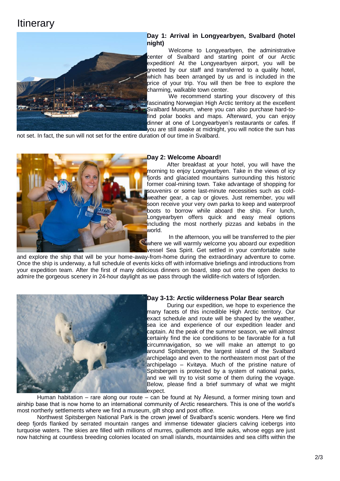## **Itinerary**



### **Day 1: Arrival in Longyearbyen, Svalbard (hotel night)**

Welcome to Longyearbyen, the administrative center of Svalbard and starting point of our Arctic expedition! At the Longyearbyen airport, you will be greeted by our staff and transferred to a quality hotel, which has been arranged by us and is included in the price of your trip. You will then be free to explore the charming, walkable town center.

We recommend starting your discovery of this fascinating Norwegian High Arctic territory at the excellent Svalbard Museum, where you can also purchase hard-tofind polar books and maps. Afterward, you can enjoy dinner at one of Longyearbyen's restaurants or cafes. If you are still awake at midnight, you will notice the sun has

not set. In fact, the sun will not set for the entire duration of our time in Svalbard.



### **Day 2: Welcome Aboard!**

After breakfast at your hotel, you will have the morning to enjoy Longyearbyen. Take in the views of icy fjords and glaciated mountains surrounding this historic former coal-mining town. Take advantage of shopping for souvenirs or some last-minute necessities such as coldweather gear, a cap or gloves. Just remember, you will soon receive your very own parka to keep and waterproof boots to borrow while aboard the ship. For lunch, Longyearbyen offers quick and easy meal options including the most northerly pizzas and kebabs in the world.

In the afternoon, you will be transferred to the pier where we will warmly welcome you aboard our expedition vessel Sea Spirit. Get settled in your comfortable suite

and explore the ship that will be your home-away-from-home during the extraordinary adventure to come. Once the ship is underway, a full schedule of events kicks off with informative briefings and introductions from your expedition team. After the first of many delicious dinners on board, step out onto the open decks to admire the gorgeous scenery in 24-hour daylight as we pass through the wildlife-rich waters of Isfjorden.



#### **Day 3-13: Arctic wilderness Polar Bear search**

During our expedition, we hope to experience the many facets of this incredible High Arctic territory. Our exact schedule and route will be shaped by the weather, sea ice and experience of our expedition leader and captain. At the peak of the summer season, we will almost certainly find the ice conditions to be favorable for a full circumnavigation, so we will make an attempt to go around Spitsbergen, the largest island of the Svalbard archipelago and even to the northeastern most part of the archipelago – Kvitøya. Much of the pristine nature of Spitsbergen is protected by a system of national parks, and we will try to visit some of them during the voyage. Below, please find a brief summary of what we might expect.

Human habitation – rare along our route – can be found at Ny Ålesund, a former mining town and airship base that is now home to an international community of Arctic researchers. This is one of the world's most northerly settlements where we find a museum, gift shop and post office.

Northwest Spitsbergen National Park is the crown jewel of Svalbard's scenic wonders. Here we find deep fjords flanked by serrated mountain ranges and immense tidewater glaciers calving icebergs into turquoise waters. The skies are filled with millions of murres, guillemots and little auks, whose eggs are just now hatching at countless breeding colonies located on small islands, mountainsides and sea cliffs within the